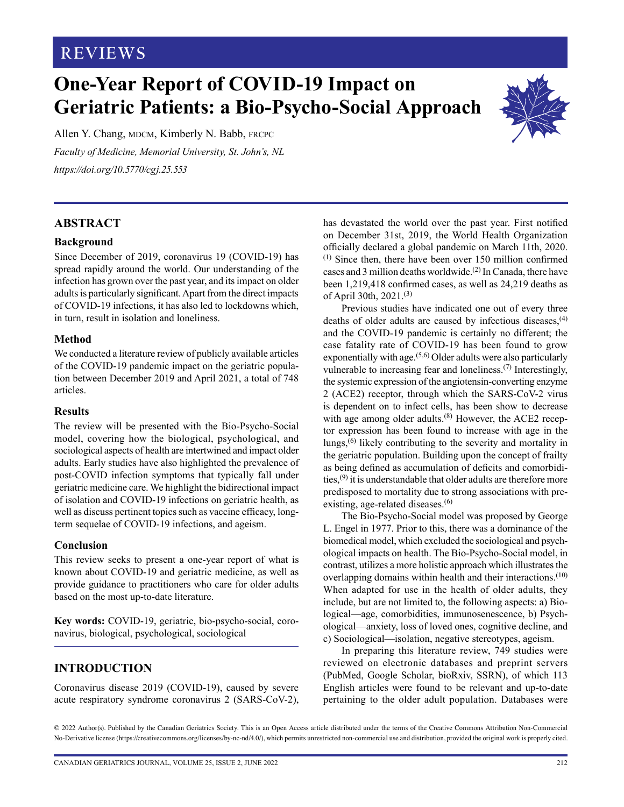## **REVIEWS**

# **One-Year Report of COVID-19 Impact on Geriatric Patients: a Bio-Psycho-Social Approach**

Allen Y. Chang, MDCM, Kimberly N. Babb, FRCPC *Faculty of Medicine, Memorial University, St. John's, NL <https://doi.org/10.5770/cgj.25.553>*

### **ABSTRACT**

#### **Background**

Since December of 2019, coronavirus 19 (COVID-19) has spread rapidly around the world. Our understanding of the infection has grown over the past year, and its impact on older adults is particularly significant. Apart from the direct impacts of COVID-19 infections, it has also led to lockdowns which, in turn, result in isolation and loneliness.

#### **Method**

We conducted a literature review of publicly available articles of the COVID-19 pandemic impact on the geriatric population between December 2019 and April 2021, a total of 748 articles.

#### **Results**

The review will be presented with the Bio-Psycho-Social model, covering how the biological, psychological, and sociological aspects of health are intertwined and impact older adults. Early studies have also highlighted the prevalence of post-COVID infection symptoms that typically fall under geriatric medicine care. We highlight the bidirectional impact of isolation and COVID-19 infections on geriatric health, as well as discuss pertinent topics such as vaccine efficacy, longterm sequelae of COVID-19 infections, and ageism.

#### **Conclusion**

This review seeks to present a one-year report of what is known about COVID-19 and geriatric medicine, as well as provide guidance to practitioners who care for older adults based on the most up-to-date literature.

**Key words:** COVID-19, geriatric, bio-psycho-social, coronavirus, biological, psychological, sociological

## **INTRODUCTION**

Coronavirus disease 2019 (COVID-19), caused by severe acute respiratory syndrome coronavirus 2 (SARS-CoV-2),

has devastated the world over the past year. First notified on December 31st, 2019, the World Health Organization officially declared a global pandemic on March 11th, 2020. (1) Since then, there have been over 150 million confirmed cases and 3 million deaths worldwide.<sup>(2)</sup> In Canada, there have been 1,219,418 confirmed cases, as well as 24,219 deaths as of April 30th, 2021.(3)

Previous studies have indicated one out of every three deaths of older adults are caused by infectious diseases, $(4)$ and the COVID-19 pandemic is certainly no different; the case fatality rate of COVID-19 has been found to grow exponentially with age.<sup> $(5,6)$ </sup> Older adults were also particularly vulnerable to increasing fear and loneliness.<sup>(7)</sup> Interestingly, the systemic expression of the angiotensin-converting enzyme 2 (ACE2) receptor, through which the SARS-CoV-2 virus is dependent on to infect cells, has been show to decrease with age among older adults.<sup>(8)</sup> However, the ACE2 receptor expression has been found to increase with age in the lungs,(6) likely contributing to the severity and mortality in the geriatric population. Building upon the concept of frailty as being defined as accumulation of deficits and comorbidities,(9) it is understandable that older adults are therefore more predisposed to mortality due to strong associations with preexisting, age-related diseases.<sup>(6)</sup>

The Bio-Psycho-Social model was proposed by George L. Engel in 1977. Prior to this, there was a dominance of the biomedical model, which excluded the sociological and psychological impacts on health. The Bio-Psycho-Social model, in contrast, utilizes a more holistic approach which illustrates the overlapping domains within health and their interactions.<sup>(10)</sup> When adapted for use in the health of older adults, they include, but are not limited to, the following aspects: a) Biological—age, comorbidities, immunosenescence, b) Psychological—anxiety, loss of loved ones, cognitive decline, and c) Sociological—isolation, negative stereotypes, ageism.

In preparing this literature review, 749 studies were reviewed on electronic databases and preprint servers (PubMed, Google Scholar, bioRxiv, SSRN), of which 113 English articles were found to be relevant and up-to-date pertaining to the older adult population. Databases were

© 2022 Author(s). Published by the Canadian Geriatrics Society. This is an Open Access article distributed under the terms of the Creative Commons Attribution Non-Commercial No-Derivative license (https://creativecommons.org/licenses/by-nc-nd/4.0/), which permits unrestricted non-commercial use and distribution, provided the original work is properly cited.



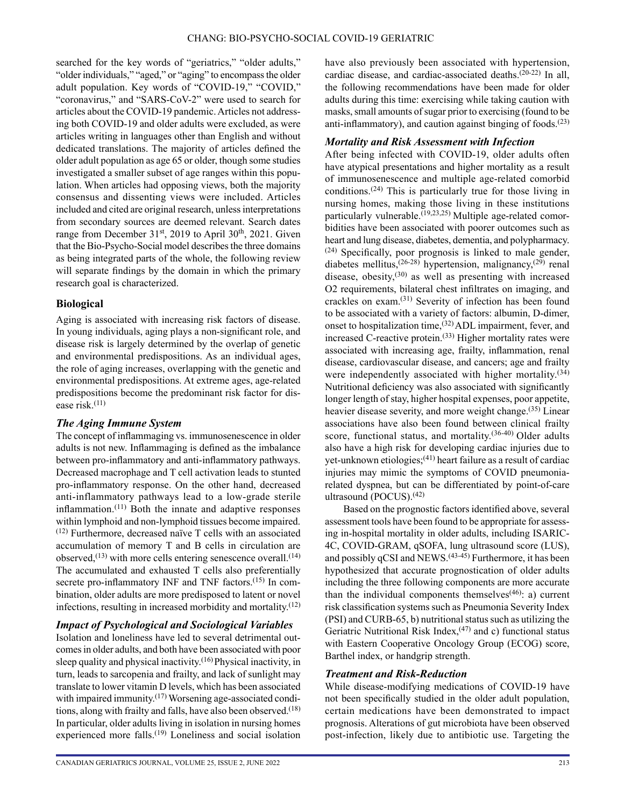searched for the key words of "geriatrics," "older adults," "older individuals," "aged," or "aging" to encompass the older adult population. Key words of "COVID-19," "COVID," "coronavirus," and "SARS-CoV-2" were used to search for articles about the COVID-19 pandemic. Articles not addressing both COVID-19 and older adults were excluded, as were articles writing in languages other than English and without dedicated translations. The majority of articles defined the older adult population as age 65 or older, though some studies investigated a smaller subset of age ranges within this population. When articles had opposing views, both the majority consensus and dissenting views were included. Articles included and cited are original research, unless interpretations from secondary sources are deemed relevant. Search dates range from December 31st, 2019 to April 30<sup>th</sup>, 2021. Given that the Bio-Psycho-Social model describes the three domains as being integrated parts of the whole, the following review will separate findings by the domain in which the primary research goal is characterized.

#### **Biological**

Aging is associated with increasing risk factors of disease. In young individuals, aging plays a non-significant role, and disease risk is largely determined by the overlap of genetic and environmental predispositions. As an individual ages, the role of aging increases, overlapping with the genetic and environmental predispositions. At extreme ages, age-related predispositions become the predominant risk factor for disease risk.(11)

#### *The Aging Immune System*

The concept of inflammaging vs. immunosenescence in older adults is not new. Inflammaging is defined as the imbalance between pro-inflammatory and anti-inflammatory pathways. Decreased macrophage and T cell activation leads to stunted pro-inflammatory response. On the other hand, decreased anti-inflammatory pathways lead to a low-grade sterile inflammation. $(11)$  Both the innate and adaptive responses within lymphoid and non-lymphoid tissues become impaired. (12) Furthermore, decreased naïve T cells with an associated accumulation of memory T and B cells in circulation are observed, $^{(13)}$  with more cells entering senescence overall. $^{(14)}$ The accumulated and exhausted T cells also preferentially secrete pro-inflammatory INF and TNF factors.<sup>(15)</sup> In combination, older adults are more predisposed to latent or novel infections, resulting in increased morbidity and mortality. $(12)$ 

#### *Impact of Psychological and Sociological Variables*

Isolation and loneliness have led to several detrimental outcomes in older adults, and both have been associated with poor sleep quality and physical inactivity.(16) Physical inactivity, in turn, leads to sarcopenia and frailty, and lack of sunlight may translate to lower vitamin D levels, which has been associated with impaired immunity.<sup>(17)</sup> Worsening age-associated conditions, along with frailty and falls, have also been observed.<sup>(18)</sup> In particular, older adults living in isolation in nursing homes experienced more falls.<sup>(19)</sup> Loneliness and social isolation have also previously been associated with hypertension, cardiac disease, and cardiac-associated deaths.(20-22) In all, the following recommendations have been made for older adults during this time: exercising while taking caution with masks, small amounts of sugar prior to exercising (found to be anti-inflammatory), and caution against binging of foods. $(23)$ 

#### *Mortality and Risk Assessment with Infection*

After being infected with COVID-19, older adults often have atypical presentations and higher mortality as a result of immunosenescence and multiple age-related comorbid conditions.<sup> $(24)$ </sup> This is particularly true for those living in nursing homes, making those living in these institutions particularly vulnerable.<sup>(19,23,25)</sup> Multiple age-related comorbidities have been associated with poorer outcomes such as heart and lung disease, diabetes, dementia, and polypharmacy. (24) Specifically, poor prognosis is linked to male gender, diabetes mellitus,<sup>(26-28)</sup> hypertension, malignancy,<sup>(29)</sup> renal disease, obesity,(30) as well as presenting with increased O2 requirements, bilateral chest infiltrates on imaging, and crackles on exam.(31) Severity of infection has been found to be associated with a variety of factors: albumin, D-dimer, onset to hospitalization time,(32) ADL impairment, fever, and increased C-reactive protein.(33) Higher mortality rates were associated with increasing age, frailty, inflammation, renal disease, cardiovascular disease, and cancers; age and frailty were independently associated with higher mortality.<sup>(34)</sup> Nutritional deficiency was also associated with significantly longer length of stay, higher hospital expenses, poor appetite, heavier disease severity, and more weight change.<sup>(35)</sup> Linear associations have also been found between clinical frailty score, functional status, and mortality.<sup>(36-40)</sup> Older adults also have a high risk for developing cardiac injuries due to yet-unknown etiologies;(41) heart failure as a result of cardiac injuries may mimic the symptoms of COVID pneumoniarelated dyspnea, but can be differentiated by point-of-care ultrasound (POCUS).<sup>(42)</sup>

Based on the prognostic factors identified above, several assessment tools have been found to be appropriate for assessing in-hospital mortality in older adults, including ISARIC-4C, COVID-GRAM, qSOFA, lung ultrasound score (LUS), and possibly qCSI and  $NEWS$ .<sup> $(43-45)$ </sup> Furthermore, it has been hypothesized that accurate prognostication of older adults including the three following components are more accurate than the individual components themselves<sup> $(46)$ </sup>: a) current risk classification systems such as Pneumonia Severity Index (PSI) and CURB-65, b) nutritional status such as utilizing the Geriatric Nutritional Risk Index,  $(47)$  and c) functional status with Eastern Cooperative Oncology Group (ECOG) score, Barthel index, or handgrip strength.

#### *Treatment and Risk-Reduction*

While disease-modifying medications of COVID-19 have not been specifically studied in the older adult population, certain medications have been demonstrated to impact prognosis. Alterations of gut microbiota have been observed post-infection, likely due to antibiotic use. Targeting the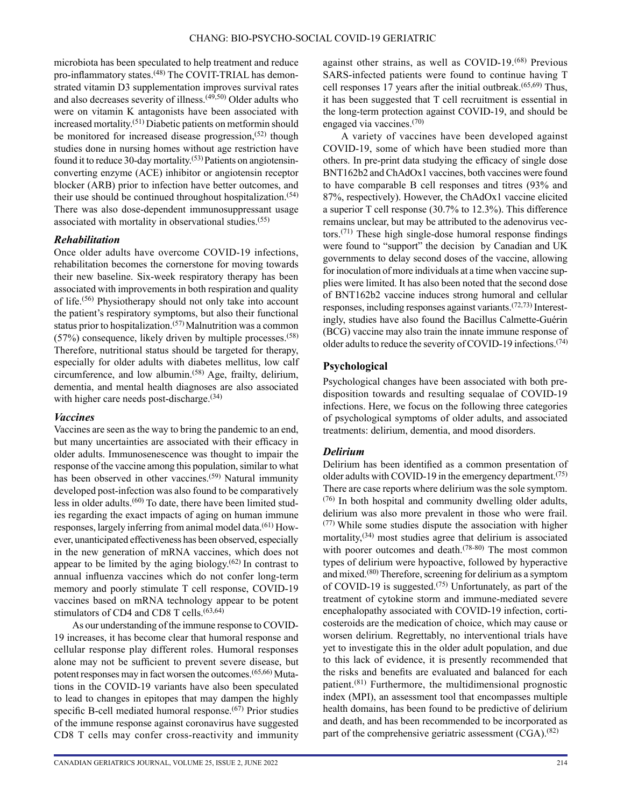microbiota has been speculated to help treatment and reduce pro-inflammatory states.<sup>(48)</sup> The COVIT-TRIAL has demonstrated vitamin D3 supplementation improves survival rates and also decreases severity of illness. $(49,50)$  Older adults who were on vitamin K antagonists have been associated with increased mortality.(51) Diabetic patients on metformin should be monitored for increased disease progression,  $(52)$  though studies done in nursing homes without age restriction have found it to reduce 30-day mortality.(53) Patients on angiotensinconverting enzyme (ACE) inhibitor or angiotensin receptor blocker (ARB) prior to infection have better outcomes, and their use should be continued throughout hospitalization.<sup> $(54)$ </sup> There was also dose-dependent immunosuppressant usage associated with mortality in observational studies.(55)

#### *Rehabilitation*

Once older adults have overcome COVID-19 infections, rehabilitation becomes the cornerstone for moving towards their new baseline. Six-week respiratory therapy has been associated with improvements in both respiration and quality of life.<sup>(56)</sup> Physiotherapy should not only take into account the patient's respiratory symptoms, but also their functional status prior to hospitalization.(57) Malnutrition was a common  $(57%)$  consequence, likely driven by multiple processes.<sup> $(58)$ </sup> Therefore, nutritional status should be targeted for therapy, especially for older adults with diabetes mellitus, low calf circumference, and low albumin.(58) Age, frailty, delirium, dementia, and mental health diagnoses are also associated with higher care needs post-discharge.<sup>(34)</sup>

#### *Vaccines*

Vaccines are seen as the way to bring the pandemic to an end, but many uncertainties are associated with their efficacy in older adults. Immunosenescence was thought to impair the response of the vaccine among this population, similar to what has been observed in other vaccines.<sup>(59)</sup> Natural immunity developed post-infection was also found to be comparatively less in older adults.<sup>(60)</sup> To date, there have been limited studies regarding the exact impacts of aging on human immune responses, largely inferring from animal model data.<sup>(61)</sup> However, unanticipated effectiveness has been observed, especially in the new generation of mRNA vaccines, which does not appear to be limited by the aging biology. $(62)$  In contrast to annual influenza vaccines which do not confer long-term memory and poorly stimulate T cell response, COVID-19 vaccines based on mRNA technology appear to be potent stimulators of CD4 and CD8 T cells. $(63, 64)$ 

As our understanding of the immune response to COVID-19 increases, it has become clear that humoral response and cellular response play different roles. Humoral responses alone may not be sufficient to prevent severe disease, but potent responses may in fact worsen the outcomes.(65,66) Mutations in the COVID-19 variants have also been speculated to lead to changes in epitopes that may dampen the highly specific B-cell mediated humoral response.<sup>(67)</sup> Prior studies of the immune response against coronavirus have suggested CD8 T cells may confer cross-reactivity and immunity against other strains, as well as COVID-19.(68) Previous SARS-infected patients were found to continue having T cell responses 17 years after the initial outbreak.(65,69) Thus, it has been suggested that T cell recruitment is essential in the long-term protection against COVID-19, and should be engaged via vaccines.(70)

A variety of vaccines have been developed against COVID-19, some of which have been studied more than others. In pre-print data studying the efficacy of single dose BNT162b2 and ChAdOx1 vaccines, both vaccines were found to have comparable B cell responses and titres (93% and 87%, respectively). However, the ChAdOx1 vaccine elicited a superior T cell response (30.7% to 12.3%). This difference remains unclear, but may be attributed to the adenovirus vectors.(71) These high single-dose humoral response findings were found to "support" the decision by Canadian and UK governments to delay second doses of the vaccine, allowing for inoculation of more individuals at a time when vaccine supplies were limited. It has also been noted that the second dose of BNT162b2 vaccine induces strong humoral and cellular responses, including responses against variants.(72,73) Interestingly, studies have also found the Bacillus Calmette-Guérin (BCG) vaccine may also train the innate immune response of older adults to reduce the severity of COVID-19 infections.<sup>(74)</sup>

### **Psychological**

Psychological changes have been associated with both predisposition towards and resulting sequalae of COVID-19 infections. Here, we focus on the following three categories of psychological symptoms of older adults, and associated treatments: delirium, dementia, and mood disorders.

## *Delirium*

Delirium has been identified as a common presentation of older adults with COVID-19 in the emergency department.<sup>(75)</sup> There are case reports where delirium was the sole symptom. (76) In both hospital and community dwelling older adults, delirium was also more prevalent in those who were frail. (77) While some studies dispute the association with higher mortality, $(34)$  most studies agree that delirium is associated with poorer outcomes and death.<sup>(78-80)</sup> The most common types of delirium were hypoactive, followed by hyperactive and mixed.(80) Therefore, screening for delirium as a symptom of COVID-19 is suggested.<sup> $(75)$ </sup> Unfortunately, as part of the treatment of cytokine storm and immune-mediated severe encephalopathy associated with COVID-19 infection, corticosteroids are the medication of choice, which may cause or worsen delirium. Regrettably, no interventional trials have yet to investigate this in the older adult population, and due to this lack of evidence, it is presently recommended that the risks and benefits are evaluated and balanced for each patient.(81) Furthermore, the multidimensional prognostic index (MPI), an assessment tool that encompasses multiple health domains, has been found to be predictive of delirium and death, and has been recommended to be incorporated as part of the comprehensive geriatric assessment (CGA).<sup>(82)</sup>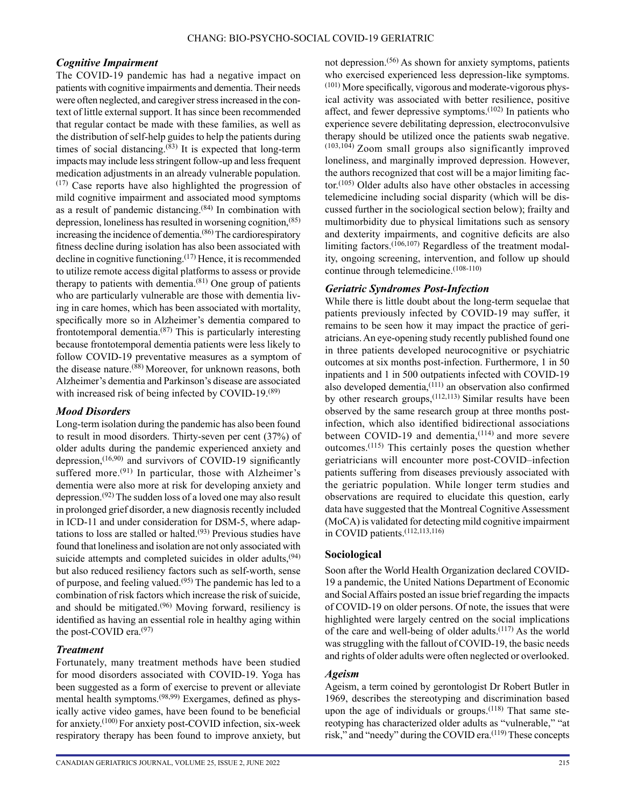#### *Cognitive Impairment*

The COVID-19 pandemic has had a negative impact on patients with cognitive impairments and dementia. Their needs were often neglected, and caregiver stress increased in the context of little external support. It has since been recommended that regular contact be made with these families, as well as the distribution of self-help guides to help the patients during times of social distancing. $(83)$  It is expected that long-term impacts may include less stringent follow-up and less frequent medication adjustments in an already vulnerable population.  $(17)$  Case reports have also highlighted the progression of mild cognitive impairment and associated mood symptoms as a result of pandemic distancing.(84) In combination with depression, loneliness has resulted in worsening cognition,(85) increasing the incidence of dementia.<sup>(86)</sup> The cardiorespiratory fitness decline during isolation has also been associated with decline in cognitive functioning.<sup>(17)</sup> Hence, it is recommended to utilize remote access digital platforms to assess or provide therapy to patients with dementia. $(81)$  One group of patients who are particularly vulnerable are those with dementia living in care homes, which has been associated with mortality, specifically more so in Alzheimer's dementia compared to frontotemporal dementia.(87) This is particularly interesting because frontotemporal dementia patients were less likely to follow COVID-19 preventative measures as a symptom of the disease nature.(88) Moreover, for unknown reasons, both Alzheimer's dementia and Parkinson's disease are associated with increased risk of being infected by COVID-19.<sup>(89)</sup>

#### *Mood Disorders*

Long-term isolation during the pandemic has also been found to result in mood disorders. Thirty-seven per cent (37%) of older adults during the pandemic experienced anxiety and depression,  $(16,90)$  and survivors of COVID-19 significantly suffered more.<sup> $(91)$ </sup> In particular, those with Alzheimer's dementia were also more at risk for developing anxiety and depression.(92) The sudden loss of a loved one may also result in prolonged grief disorder, a new diagnosis recently included in ICD-11 and under consideration for DSM-5, where adaptations to loss are stalled or halted.<sup> $(93)$ </sup> Previous studies have found that loneliness and isolation are not only associated with suicide attempts and completed suicides in older adults,  $(94)$ but also reduced resiliency factors such as self-worth, sense of purpose, and feeling valued.(95) The pandemic has led to a combination of risk factors which increase the risk of suicide, and should be mitigated.<sup> $(96)$ </sup> Moving forward, resiliency is identified as having an essential role in healthy aging within the post-COVID era.(97)

#### *Treatment*

Fortunately, many treatment methods have been studied for mood disorders associated with COVID-19. Yoga has been suggested as a form of exercise to prevent or alleviate mental health symptoms.(98,99) Exergames, defined as physically active video games, have been found to be beneficial for anxiety.(100) For anxiety post-COVID infection, six-week respiratory therapy has been found to improve anxiety, but not depression.(56) As shown for anxiety symptoms, patients who exercised experienced less depression-like symptoms. (101) More specifically, vigorous and moderate-vigorous physical activity was associated with better resilience, positive affect, and fewer depressive symptoms.(102) In patients who experience severe debilitating depression, electroconvulsive therapy should be utilized once the patients swab negative. (103,104) Zoom small groups also significantly improved loneliness, and marginally improved depression. However, the authors recognized that cost will be a major limiting fac- $\text{tor.}^{(105)}$  Older adults also have other obstacles in accessing telemedicine including social disparity (which will be discussed further in the sociological section below); frailty and multimorbidity due to physical limitations such as sensory and dexterity impairments, and cognitive deficits are also limiting factors.(106,107) Regardless of the treatment modality, ongoing screening, intervention, and follow up should continue through telemedicine.(108-110)

#### *Geriatric Syndromes Post-Infection*

While there is little doubt about the long-term sequelae that patients previously infected by COVID-19 may suffer, it remains to be seen how it may impact the practice of geriatricians. An eye-opening study recently published found one in three patients developed neurocognitive or psychiatric outcomes at six months post-infection. Furthermore, 1 in 50 inpatients and 1 in 500 outpatients infected with COVID-19 also developed dementia, $(111)$  an observation also confirmed by other research groups,  $(112, 113)$  Similar results have been observed by the same research group at three months postinfection, which also identified bidirectional associations between COVID-19 and dementia, $(114)$  and more severe outcomes.(115) This certainly poses the question whether geriatricians will encounter more post-COVID–infection patients suffering from diseases previously associated with the geriatric population. While longer term studies and observations are required to elucidate this question, early data have suggested that the Montreal Cognitive Assessment (MoCA) is validated for detecting mild cognitive impairment in COVID patients.(112,113,116)

#### **Sociological**

Soon after the World Health Organization declared COVID-19 a pandemic, the United Nations Department of Economic and Social Affairs posted an issue brief regarding the impacts of COVID-19 on older persons. Of note, the issues that were highlighted were largely centred on the social implications of the care and well-being of older adults. $(117)$  As the world was struggling with the fallout of COVID-19, the basic needs and rights of older adults were often neglected or overlooked.

#### *Ageism*

Ageism, a term coined by gerontologist Dr Robert Butler in 1969, describes the stereotyping and discrimination based upon the age of individuals or groups.<sup>(118)</sup> That same stereotyping has characterized older adults as "vulnerable," "at risk," and "needy" during the COVID era.<sup>(119)</sup> These concepts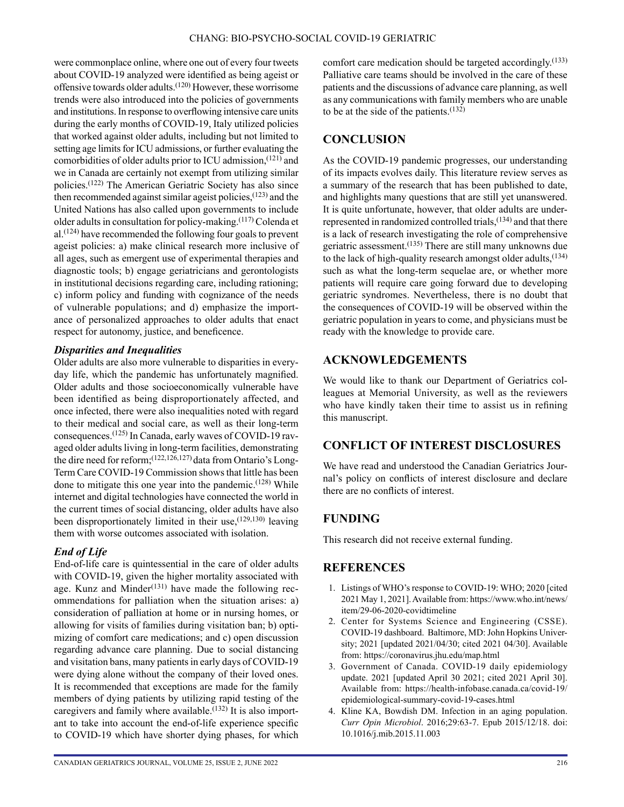were commonplace online, where one out of every four tweets about COVID-19 analyzed were identified as being ageist or offensive towards older adults.<sup>(120)</sup> However, these worrisome trends were also introduced into the policies of governments and institutions. In response to overflowing intensive care units during the early months of COVID-19, Italy utilized policies that worked against older adults, including but not limited to setting age limits for ICU admissions, or further evaluating the comorbidities of older adults prior to ICU admission,(121) and we in Canada are certainly not exempt from utilizing similar policies.(122) The American Geriatric Society has also since then recommended against similar ageist policies,  $(123)$  and the United Nations has also called upon governments to include older adults in consultation for policy-making.(117) Colenda et  $al.$ <sup>(124)</sup> have recommended the following four goals to prevent ageist policies: a) make clinical research more inclusive of all ages, such as emergent use of experimental therapies and diagnostic tools; b) engage geriatricians and gerontologists in institutional decisions regarding care, including rationing; c) inform policy and funding with cognizance of the needs of vulnerable populations; and d) emphasize the importance of personalized approaches to older adults that enact respect for autonomy, justice, and beneficence.

#### *Disparities and Inequalities*

Older adults are also more vulnerable to disparities in everyday life, which the pandemic has unfortunately magnified. Older adults and those socioeconomically vulnerable have been identified as being disproportionately affected, and once infected, there were also inequalities noted with regard to their medical and social care, as well as their long-term consequences.(125) In Canada, early waves of COVID-19 ravaged older adults living in long-term facilities, demonstrating the dire need for reform;(122,126,127) data from Ontario's Long-Term Care COVID-19 Commission shows that little has been done to mitigate this one year into the pandemic.<sup> $(128)$ </sup> While internet and digital technologies have connected the world in the current times of social distancing, older adults have also been disproportionately limited in their use,  $(129,130)$  leaving them with worse outcomes associated with isolation.

#### *End of Life*

End-of-life care is quintessential in the care of older adults with COVID-19, given the higher mortality associated with age. Kunz and Minder $(131)$  have made the following recommendations for palliation when the situation arises: a) consideration of palliation at home or in nursing homes, or allowing for visits of families during visitation ban; b) optimizing of comfort care medications; and c) open discussion regarding advance care planning. Due to social distancing and visitation bans, many patients in early days of COVID-19 were dying alone without the company of their loved ones. It is recommended that exceptions are made for the family members of dying patients by utilizing rapid testing of the caregivers and family where available.<sup> $(132)$ </sup> It is also important to take into account the end-of-life experience specific to COVID-19 which have shorter dying phases, for which

comfort care medication should be targeted accordingly.<sup>(133)</sup> Palliative care teams should be involved in the care of these patients and the discussions of advance care planning, as well as any communications with family members who are unable to be at the side of the patients.(132)

## **CONCLUSION**

As the COVID-19 pandemic progresses, our understanding of its impacts evolves daily. This literature review serves as a summary of the research that has been published to date, and highlights many questions that are still yet unanswered. It is quite unfortunate, however, that older adults are underrepresented in randomized controlled trials,(134) and that there is a lack of research investigating the role of comprehensive geriatric assessment.(135) There are still many unknowns due to the lack of high-quality research amongst older adults,  $(134)$ such as what the long-term sequelae are, or whether more patients will require care going forward due to developing geriatric syndromes. Nevertheless, there is no doubt that the consequences of COVID-19 will be observed within the geriatric population in years to come, and physicians must be ready with the knowledge to provide care.

## **ACKNOWLEDGEMENTS**

We would like to thank our Department of Geriatrics colleagues at Memorial University, as well as the reviewers who have kindly taken their time to assist us in refining this manuscript.

## **CONFLICT OF INTEREST DISCLOSURES**

We have read and understood the Canadian Geriatrics Journal's policy on conflicts of interest disclosure and declare there are no conflicts of interest.

## **FUNDING**

This research did not receive external funding.

## **REFERENCES**

- 1. Listings of WHO's response to COVID-19: WHO; 2020 [cited 2021 May 1, 2021]. Available from: [https://www.who.int/news/](https://www.who.int/news/item/29-06-2020-covidtimeline) [item/29-06-2020-covidtimeline](https://www.who.int/news/item/29-06-2020-covidtimeline)
- 2. Center for Systems Science and Engineering (CSSE). COVID-19 dashboard. Baltimore, MD: John Hopkins University; 2021 [updated 2021/04/30; cited 2021 04/30]. Available from:<https://coronavirus.jhu.edu/map.html>
- 3. Government of Canada. COVID-19 daily epidemiology update. 2021 [updated April 30 2021; cited 2021 April 30]. Available from: [https://health-infobase.canada.ca/covid-19/](https://health-infobase.canada.ca/covid-19/epidemiological-summary-covid-19-cases.html) [epidemiological-summary-covid-19-cases.html](https://health-infobase.canada.ca/covid-19/epidemiological-summary-covid-19-cases.html)
- 4. Kline KA, Bowdish DM. Infection in an aging population. *Curr Opin Microbiol*. 2016;29:63-7. Epub 2015/12/18. doi: 10.1016/j.mib.2015.11.003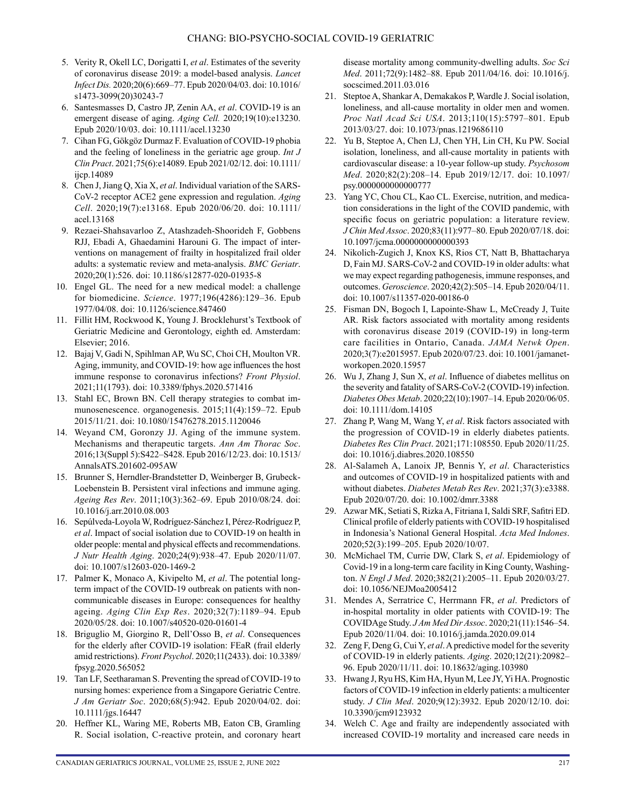- 5. Verity R, Okell LC, Dorigatti I, *et al*. Estimates of the severity of coronavirus disease 2019: a model-based analysis. *Lancet Infect Dis.* 2020;20(6):669–77. Epub 2020/04/03. doi: 10.1016/ s1473-3099(20)30243-7
- 6. Santesmasses D, Castro JP, Zenin AA, *et al*. COVID-19 is an emergent disease of aging. *Aging Cell.* 2020;19(10):e13230. Epub 2020/10/03. doi: 10.1111/acel.13230
- 7. Cihan FG, Gökgöz Durmaz F. Evaluation of COVID-19 phobia and the feeling of loneliness in the geriatric age group. *Int J Clin Pract*. 2021;75(6):e14089. Epub 2021/02/12. doi: 10.1111/ ijcp.14089
- 8. Chen J, Jiang Q, Xia X, *et al*. Individual variation of the SARS-CoV-2 receptor ACE2 gene expression and regulation. *Aging Cell*. 2020;19(7):e13168. Epub 2020/06/20. doi: 10.1111/ acel.13168
- 9. Rezaei-Shahsavarloo Z, Atashzadeh-Shoorideh F, Gobbens RJJ, Ebadi A, Ghaedamini Harouni G. The impact of interventions on management of frailty in hospitalized frail older adults: a systematic review and meta-analysis. *BMC Geriatr*. 2020;20(1):526. doi: 10.1186/s12877-020-01935-8
- 10. Engel GL. The need for a new medical model: a challenge for biomedicine. *Science*. 1977;196(4286):129–36. Epub 1977/04/08. doi: 10.1126/science.847460
- 11. Fillit HM, Rockwood K, Young J. Brocklehurst's Textbook of Geriatric Medicine and Gerontology, eighth ed. Amsterdam: Elsevier; 2016.
- 12. Bajaj V, Gadi N, Spihlman AP, Wu SC, Choi CH, Moulton VR. Aging, immunity, and COVID-19: how age influences the host immune response to coronavirus infections? *Front Physiol*. 2021;11(1793). doi: 10.3389/fphys.2020.571416
- 13. Stahl EC, Brown BN. Cell therapy strategies to combat immunosenescence. organogenesis. 2015;11(4):159–72. Epub 2015/11/21. doi: 10.1080/15476278.2015.1120046
- 14. Weyand CM, Goronzy JJ. Aging of the immune system. Mechanisms and therapeutic targets. *Ann Am Thorac Soc*. 2016;13(Suppl 5):S422–S428. Epub 2016/12/23. doi: 10.1513/ AnnalsATS.201602-095AW
- 15. Brunner S, Herndler-Brandstetter D, Weinberger B, Grubeck-Loebenstein B. Persistent viral infections and immune aging. *Ageing Res Rev*. 2011;10(3):362–69. Epub 2010/08/24. doi: 10.1016/j.arr.2010.08.003
- 16. Sepúlveda-Loyola W, Rodríguez-Sánchez I, Pérez-Rodríguez P, *et al*. Impact of social isolation due to COVID-19 on health in older people: mental and physical effects and recommendations. *J Nutr Health Aging*. 2020;24(9):938–47. Epub 2020/11/07. doi: 10.1007/s12603-020-1469-2
- 17. Palmer K, Monaco A, Kivipelto M, *et al*. The potential longterm impact of the COVID-19 outbreak on patients with noncommunicable diseases in Europe: consequences for healthy ageing. *Aging Clin Exp Res*. 2020;32(7):1189–94. Epub 2020/05/28. doi: 10.1007/s40520-020-01601-4
- 18. Briguglio M, Giorgino R, Dell'Osso B, *et al*. Consequences for the elderly after COVID-19 isolation: FEaR (frail elderly amid restrictions). *Front Psychol*. 2020;11(2433). doi: 10.3389/ fpsyg.2020.565052
- 19. Tan LF, Seetharaman S. Preventing the spread of COVID-19 to nursing homes: experience from a Singapore Geriatric Centre. *J Am Geriatr Soc*. 2020;68(5):942. Epub 2020/04/02. doi: 10.1111/jgs.16447
- 20. Heffner KL, Waring ME, Roberts MB, Eaton CB, Gramling R. Social isolation, C-reactive protein, and coronary heart

disease mortality among community-dwelling adults. *Soc Sci Med*. 2011;72(9):1482–88. Epub 2011/04/16. doi: 10.1016/j. socscimed.2011.03.016

- 21. Steptoe A, Shankar A, Demakakos P, Wardle J. Social isolation, loneliness, and all-cause mortality in older men and women. *Proc Natl Acad Sci USA*. 2013;110(15):5797–801. Epub 2013/03/27. doi: 10.1073/pnas.1219686110
- 22. Yu B, Steptoe A, Chen LJ, Chen YH, Lin CH, Ku PW. Social isolation, loneliness, and all-cause mortality in patients with cardiovascular disease: a 10-year follow-up study. *Psychosom Med*. 2020;82(2):208–14. Epub 2019/12/17. doi: 10.1097/ psy.0000000000000777
- 23. Yang YC, Chou CL, Kao CL. Exercise, nutrition, and medication considerations in the light of the COVID pandemic, with specific focus on geriatric population: a literature review. *J Chin Med Assoc*. 2020;83(11):977–80. Epub 2020/07/18. doi: 10.1097/jcma.0000000000000393
- 24. Nikolich-Zugich J, Knox KS, Rios CT, Natt B, Bhattacharya D, Fain MJ. SARS-CoV-2 and COVID-19 in older adults: what we may expect regarding pathogenesis, immune responses, and outcomes. *Geroscience*. 2020;42(2):505–14. Epub 2020/04/11. doi: 10.1007/s11357-020-00186-0
- 25. Fisman DN, Bogoch I, Lapointe-Shaw L, McCready J, Tuite AR. Risk factors associated with mortality among residents with coronavirus disease 2019 (COVID-19) in long-term care facilities in Ontario, Canada. *JAMA Netwk Open*. 2020;3(7):e2015957. Epub 2020/07/23. doi: 10.1001/jamanetworkopen.2020.15957
- 26. Wu J, Zhang J, Sun X, *et al*. Influence of diabetes mellitus on the severity and fatality of SARS-CoV-2 (COVID-19) infection. *Diabetes Obes Metab*. 2020;22(10):1907–14. Epub 2020/06/05. doi: 10.1111/dom.14105
- 27. Zhang P, Wang M, Wang Y, *et al*. Risk factors associated with the progression of COVID-19 in elderly diabetes patients. *Diabetes Res Clin Pract*. 2021;171:108550. Epub 2020/11/25. doi: 10.1016/j.diabres.2020.108550
- 28. Al-Salameh A, Lanoix JP, Bennis Y, *et al*. Characteristics and outcomes of COVID-19 in hospitalized patients with and without diabetes. *Diabetes Metab Res Rev*. 2021;37(3):e3388. Epub 2020/07/20. doi: 10.1002/dmrr.3388
- 29. Azwar MK, Setiati S, Rizka A, Fitriana I, Saldi SRF, Safitri ED. Clinical profile of elderly patients with COVID-19 hospitalised in Indonesia's National General Hospital. *Acta Med Indones*. 2020;52(3):199–205. Epub 2020/10/07.
- 30. McMichael TM, Currie DW, Clark S, *et al*. Epidemiology of Covid-19 in a long-term care facility in King County, Washington. *N Engl J Med*. 2020;382(21):2005–11. Epub 2020/03/27. doi: 10.1056/NEJMoa2005412
- 31. Mendes A, Serratrice C, Herrmann FR, *et al*. Predictors of in-hospital mortality in older patients with COVID-19: The COVIDAge Study. *J Am Med Dir Assoc*. 2020;21(11):1546–54. Epub 2020/11/04. doi: 10.1016/j.jamda.2020.09.014
- 32. Zeng F, Deng G, Cui Y, *et al*. A predictive model for the severity of COVID-19 in elderly patients. *Aging*. 2020;12(21):20982– 96. Epub 2020/11/11. doi: 10.18632/aging.103980
- 33. Hwang J, Ryu HS, Kim HA, Hyun M, Lee JY, Yi HA. Prognostic factors of COVID-19 infection in elderly patients: a multicenter study. *J Clin Med*. 2020;9(12):3932. Epub 2020/12/10. doi: 10.3390/jcm9123932
- 34. Welch C. Age and frailty are independently associated with increased COVID-19 mortality and increased care needs in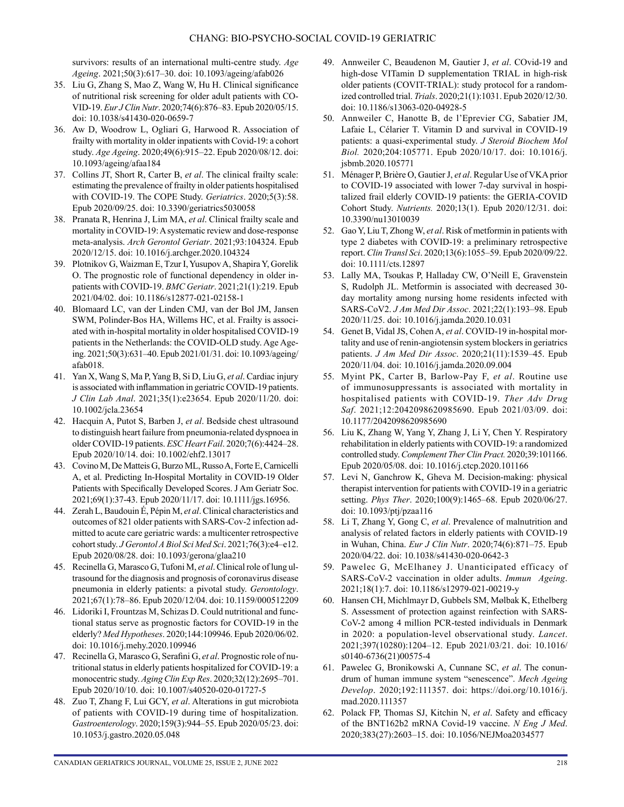survivors: results of an international multi-centre study. *Age Ageing*. 2021;50(3):617–30. doi: 10.1093/ageing/afab026

- 35. Liu G, Zhang S, Mao Z, Wang W, Hu H. Clinical significance of nutritional risk screening for older adult patients with CO-VID-19. *Eur J Clin Nutr*. 2020;74(6):876–83. Epub 2020/05/15. doi: 10.1038/s41430-020-0659-7
- 36. Aw D, Woodrow L, Ogliari G, Harwood R. Association of frailty with mortality in older inpatients with Covid-19: a cohort study. *Age Ageing*. 2020;49(6):915–22. Epub 2020/08/12. doi: 10.1093/ageing/afaa184
- 37. Collins JT, Short R, Carter B, *et al*. The clinical frailty scale: estimating the prevalence of frailty in older patients hospitalised with COVID-19. The COPE Study. *Geriatrics*. 2020;5(3):58. Epub 2020/09/25. doi: 10.3390/geriatrics5030058
- 38. Pranata R, Henrina J, Lim MA, *et al*. Clinical frailty scale and mortality in COVID-19: A systematic review and dose-response meta-analysis. *Arch Gerontol Geriatr*. 2021;93:104324. Epub 2020/12/15. doi: 10.1016/j.archger.2020.104324
- 39. Plotnikov G, Waizman E, Tzur I, Yusupov A, Shapira Y, Gorelik O. The prognostic role of functional dependency in older inpatients with COVID-19. *BMC Geriatr*. 2021;21(1):219. Epub 2021/04/02. doi: 10.1186/s12877-021-02158-1
- 40. Blomaard LC, van der Linden CMJ, van der Bol JM, Jansen SWM, Polinder-Bos HA, Willems HC, et al. Frailty is associated with in-hospital mortality in older hospitalised COVID-19 patients in the Netherlands: the COVID-OLD study. Age Ageing. 2021;50(3):631–40. Epub 2021/01/31. doi: 10.1093/ageing/ afab018.
- 41. Yan X, Wang S, Ma P, Yang B, Si D, Liu G, *et al*. Cardiac injury is associated with inflammation in geriatric COVID-19 patients. *J Clin Lab Anal*. 2021;35(1):e23654. Epub 2020/11/20. doi: 10.1002/jcla.23654
- 42. Hacquin A, Putot S, Barben J, *et al*. Bedside chest ultrasound to distinguish heart failure from pneumonia-related dyspnoea in older COVID-19 patients. *ESC Heart Fail*. 2020;7(6):4424–28. Epub 2020/10/14. doi: 10.1002/ehf2.13017
- 43. Covino M, De Matteis G, Burzo ML, Russo A, Forte E, Carnicelli A, et al. Predicting In-Hospital Mortality in COVID-19 Older Patients with Specifically Developed Scores. J Am Geriatr Soc. 2021;69(1):37-43. Epub 2020/11/17. doi: 10.1111/jgs.16956.
- 44. Zerah L, Baudouin É, Pépin M, *et al*. Clinical characteristics and outcomes of 821 older patients with SARS-Cov-2 infection admitted to acute care geriatric wards: a multicenter retrospective cohort study. *J Gerontol A Biol Sci Med Sci*. 2021;76(3):e4–e12. Epub 2020/08/28. doi: 10.1093/gerona/glaa210
- 45. Recinella G, Marasco G, Tufoni M, *et al*. Clinical role of lung ultrasound for the diagnosis and prognosis of coronavirus disease pneumonia in elderly patients: a pivotal study. *Gerontology*. 2021;67(1):78–86. Epub 2020/12/04. doi: 10.1159/000512209
- 46. Lidoriki I, Frountzas M, Schizas D. Could nutritional and functional status serve as prognostic factors for COVID-19 in the elderly? *Med Hypotheses*. 2020;144:109946. Epub 2020/06/02. doi: 10.1016/j.mehy.2020.109946
- 47. Recinella G, Marasco G, Serafini G, *et al*. Prognostic role of nutritional status in elderly patients hospitalized for COVID-19: a monocentric study. *Aging Clin Exp Res*. 2020;32(12):2695–701. Epub 2020/10/10. doi: 10.1007/s40520-020-01727-5
- 48. Zuo T, Zhang F, Lui GCY, *et al*. Alterations in gut microbiota of patients with COVID-19 during time of hospitalization. *Gastroenterology*. 2020;159(3):944–55. Epub 2020/05/23. doi: 10.1053/j.gastro.2020.05.048
- 49. Annweiler C, Beaudenon M, Gautier J, *et al*. COvid-19 and high-dose VITamin D supplementation TRIAL in high-risk older patients (COVIT-TRIAL): study protocol for a randomized controlled trial. *Trials*. 2020;21(1):1031. Epub 2020/12/30. doi: 10.1186/s13063-020-04928-5
- 50. Annweiler C, Hanotte B, de l'Eprevier CG, Sabatier JM, Lafaie L, Célarier T. Vitamin D and survival in COVID-19 patients: a quasi-experimental study. *J Steroid Biochem Mol Biol.* 2020;204:105771. Epub 2020/10/17. doi: 10.1016/j. jsbmb.2020.105771
- 51. Ménager P, Brière O, Gautier J, *et al*. Regular Use of VKA prior to COVID-19 associated with lower 7-day survival in hospitalized frail elderly COVID-19 patients: the GERIA-COVID Cohort Study. *Nutrients.* 2020;13(1). Epub 2020/12/31. doi: 10.3390/nu13010039
- 52. Gao Y, Liu T, Zhong W, *et al*. Risk of metformin in patients with type 2 diabetes with COVID-19: a preliminary retrospective report. *Clin Transl Sci*. 2020;13(6):1055–59. Epub 2020/09/22. doi: 10.1111/cts.12897
- 53. Lally MA, Tsoukas P, Halladay CW, O'Neill E, Gravenstein S, Rudolph JL. Metformin is associated with decreased 30 day mortality among nursing home residents infected with SARS-CoV2. *J Am Med Dir Assoc*. 2021;22(1):193–98. Epub 2020/11/25. doi: 10.1016/j.jamda.2020.10.031
- 54. Genet B, Vidal JS, Cohen A, *et al*. COVID-19 in-hospital mortality and use of renin-angiotensin system blockers in geriatrics patients. *J Am Med Dir Assoc*. 2020;21(11):1539–45. Epub 2020/11/04. doi: 10.1016/j.jamda.2020.09.004
- 55. Myint PK, Carter B, Barlow-Pay F, *et al*. Routine use of immunosuppressants is associated with mortality in hospitalised patients with COVID-19. *Ther Adv Drug Saf*. 2021;12:2042098620985690. Epub 2021/03/09. doi: 10.1177/2042098620985690
- 56. Liu K, Zhang W, Yang Y, Zhang J, Li Y, Chen Y. Respiratory rehabilitation in elderly patients with COVID-19: a randomized controlled study. *Complement Ther Clin Pract.* 2020;39:101166. Epub 2020/05/08. doi: 10.1016/j.ctcp.2020.101166
- 57. Levi N, Ganchrow K, Gheva M. Decision-making: physical therapist intervention for patients with COVID-19 in a geriatric setting. *Phys Ther*. 2020;100(9):1465–68. Epub 2020/06/27. doi: 10.1093/ptj/pzaa116
- 58. Li T, Zhang Y, Gong C, *et al*. Prevalence of malnutrition and analysis of related factors in elderly patients with COVID-19 in Wuhan, China. *Eur J Clin Nutr*. 2020;74(6):871–75. Epub 2020/04/22. doi: 10.1038/s41430-020-0642-3
- 59. Pawelec G, McElhaney J. Unanticipated efficacy of SARS-CoV-2 vaccination in older adults. *Immun Ageing*. 2021;18(1):7. doi: 10.1186/s12979-021-00219-y
- 60. Hansen CH, Michlmayr D, Gubbels SM, Mølbak K, Ethelberg S. Assessment of protection against reinfection with SARS-CoV-2 among 4 million PCR-tested individuals in Denmark in 2020: a population-level observational study. *Lancet*. 2021;397(10280):1204–12. Epub 2021/03/21. doi: 10.1016/ s0140-6736(21)00575-4
- 61. Pawelec G, Bronikowski A, Cunnane SC, *et al*. The conundrum of human immune system "senescence". *Mech Ageing Develop*. 2020;192:111357. doi: https://doi.org/10.1016/j. mad.2020.111357
- 62. Polack FP, Thomas SJ, Kitchin N, *et al*. Safety and efficacy of the BNT162b2 mRNA Covid-19 vaccine. *N Eng J Med*. 2020;383(27):2603–15. doi: 10.1056/NEJMoa2034577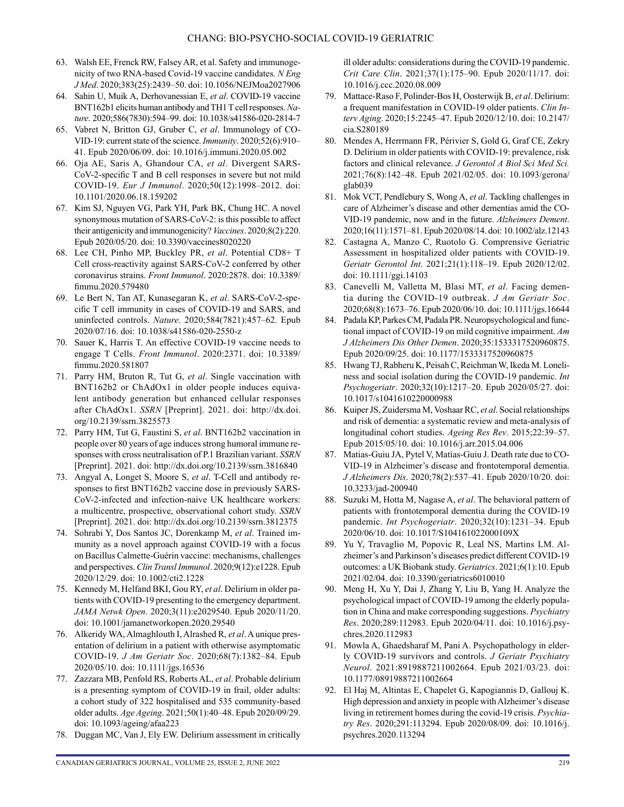- 63. Walsh EE, Frenck RW, Falsey AR, et al. Safety and immunogenicity of two RNA-based Covid-19 vaccine candidates. *N Eng J Med*. 2020;383(25):2439–50. doi: 10.1056/NEJMoa2027906
- 64. Sahin U, Muik A, Derhovanessian E, *et al*. COVID-19 vaccine BNT162b1 elicits human antibody and TH1 T cell responses. *Nature*. 2020;586(7830):594–99. doi: 10.1038/s41586-020-2814-7
- 65. Vabret N, Britton GJ, Gruber C, *et al*. Immunology of CO-VID-19: current state of the science. *Immunity*. 2020;52(6):910– 41. Epub 2020/06/09. doi: 10.1016/j.immuni.2020.05.002
- 66. Oja AE, Saris A, Ghandour CA, *et al*. Divergent SARS-CoV-2-specific T and B cell responses in severe but not mild COVID-19. *Eur J Immunol*. 2020;50(12):1998–2012. doi: 10.1101/2020.06.18.159202
- 67. Kim SJ, Nguyen VG, Park YH, Park BK, Chung HC. A novel synonymous mutation of SARS-CoV-2: is this possible to affect their antigenicity and immunogenicity? *Vaccines*. 2020;8(2):220. Epub 2020/05/20. doi: 10.3390/vaccines8020220
- 68. Lee CH, Pinho MP, Buckley PR, *et al*. Potential CD8+ T Cell cross-reactivity against SARS-CoV-2 conferred by other coronavirus strains. *Front Immunol*. 2020:2878. doi: 10.3389/ fimmu.2020.579480
- 69. Le Bert N, Tan AT, Kunasegaran K, *et al*. SARS-CoV-2-specific T cell immunity in cases of COVID-19 and SARS, and uninfected controls. *Nature*. 2020;584(7821):457–62. Epub 2020/07/16. doi: 10.1038/s41586-020-2550-z
- 70. Sauer K, Harris T. An effective COVID-19 vaccine needs to engage T Cells. *Front Immunol*. 2020:2371. doi: 10.3389/ fimmu.2020.581807
- 71. Parry HM, Bruton R, Tut G, *et al*. Single vaccination with BNT162b2 or ChAdOx1 in older people induces equivalent antibody generation but enhanced cellular responses after ChAdOx1. *SSRN* [Preprint]. 2021. doi: http://dx.doi. org/10.2139/ssrn.3825573
- 72. Parry HM, Tut G, Faustini S, *et al*. BNT162b2 vaccination in people over 80 years of age induces strong humoral immune responses with cross neutralisation of P.1 Brazilian variant. *SSRN* [Preprint]. 2021. doi: http://dx.doi.org/10.2139/ssrn.3816840
- 73. Angyal A, Longet S, Moore S, *et al*. T-Cell and antibody responses to first BNT162b2 vaccine dose in previously SARS-CoV-2-infected and infection-naive UK healthcare workers: a multicentre, prospective, observational cohort study. *SSRN* [Preprint]. 2021. doi: http://dx.doi.org/10.2139/ssrn.3812375
- 74. Sohrabi Y, Dos Santos JC, Dorenkamp M, *et al*. Trained immunity as a novel approach against COVID-19 with a focus on Bacillus Calmette-Guérin vaccine: mechanisms, challenges and perspectives. *Clin Transl Immunol*. 2020;9(12):e1228. Epub 2020/12/29. doi: 10.1002/cti2.1228
- 75. Kennedy M, Helfand BKI, Gou RY, *et al*. Delirium in older patients with COVID-19 presenting to the emergency department. *JAMA Netwk Open*. 2020;3(11):e2029540. Epub 2020/11/20. doi: 10.1001/jamanetworkopen.2020.29540
- 76. Alkeridy WA, Almaghlouth I, Alrashed R, *et al*. A unique presentation of delirium in a patient with otherwise asymptomatic COVID-19. *J Am Geriatr Soc*. 2020;68(7):1382–84. Epub 2020/05/10. doi: 10.1111/jgs.16536
- 77. Zazzara MB, Penfold RS, Roberts AL, *et al*. Probable delirium is a presenting symptom of COVID-19 in frail, older adults: a cohort study of 322 hospitalised and 535 community-based older adults. *Age Ageing*. 2021;50(1):40–48. Epub 2020/09/29. doi: 10.1093/ageing/afaa223
- 78. Duggan MC, Van J, Ely EW. Delirium assessment in critically

ill older adults: considerations during the COVID-19 pandemic. *Crit Care Clin*. 2021;37(1):175–90. Epub 2020/11/17. doi: 10.1016/j.ccc.2020.08.009

- 79. Mattace-Raso F, Polinder-Bos H, Oosterwijk B, *et al*. Delirium: a frequent manifestation in COVID-19 older patients. *Clin Interv Aging*. 2020;15:2245–47. Epub 2020/12/10. doi: 10.2147/ cia.S280189
- 80. Mendes A, Herrmann FR, Périvier S, Gold G, Graf CE, Zekry D. Delirium in older patients with COVID-19: prevalence, risk factors and clinical relevance. *J Gerontol A Biol Sci Med Sci.* 2021;76(8):142–48. Epub 2021/02/05. doi: 10.1093/gerona/ glab039
- 81. Mok VCT, Pendlebury S, Wong A, *et al*. Tackling challenges in care of Alzheimer's disease and other dementias amid the CO-VID-19 pandemic, now and in the future. *Alzheimers Dement*. 2020;16(11):1571–81. Epub 2020/08/14. doi: 10.1002/alz.12143
- 82. Castagna A, Manzo C, Ruotolo G. Comprensive Geriatric Assessment in hospitalized older patients with COVID-19. *Geriatr Gerontol Int*. 2021;21(1):118–19. Epub 2020/12/02. doi: 10.1111/ggi.14103
- 83. Canevelli M, Valletta M, Blasi MT, *et al*. Facing dementia during the COVID-19 outbreak. *J Am Geriatr Soc*. 2020;68(8):1673–76. Epub 2020/06/10. doi: 10.1111/jgs.16644
- 84. Padala KP, Parkes CM, Padala PR. Neuropsychological and functional impact of COVID-19 on mild cognitive impairment. *Am J Alzheimers Dis Other Demen*. 2020;35:1533317520960875. Epub 2020/09/25. doi: 10.1177/1533317520960875
- 85. Hwang TJ, Rabheru K, Peisah C, Reichman W, Ikeda M. Loneliness and social isolation during the COVID-19 pandemic. *Int Psychogeriatr*. 2020;32(10):1217–20. Epub 2020/05/27. doi: 10.1017/s1041610220000988
- 86. Kuiper JS, Zuidersma M, Voshaar RC, *et al*. Social relationships and risk of dementia: a systematic review and meta-analysis of longitudinal cohort studies. *Ageing Res Rev*. 2015;22:39–57. Epub 2015/05/10. doi: 10.1016/j.arr.2015.04.006
- 87. Matias-Guiu JA, Pytel V, Matías-Guiu J. Death rate due to CO-VID-19 in Alzheimer's disease and frontotemporal dementia. *J Alzheimers Dis*. 2020;78(2):537–41. Epub 2020/10/20. doi: 10.3233/jad-200940
- 88. Suzuki M, Hotta M, Nagase A, *et al*. The behavioral pattern of patients with frontotemporal dementia during the COVID-19 pandemic. *Int Psychogeriatr*. 2020;32(10):1231–34. Epub 2020/06/10. doi: 10.1017/S104161022000109X
- 89. Yu Y, Travaglio M, Popovic R, Leal NS, Martins LM. Alzheimer's and Parkinson's diseases predict different COVID-19 outcomes: a UK Biobank study. *Geriatrics*. 2021;6(1):10. Epub 2021/02/04. doi: 10.3390/geriatrics6010010
- 90. Meng H, Xu Y, Dai J, Zhang Y, Liu B, Yang H. Analyze the psychological impact of COVID-19 among the elderly population in China and make corresponding suggestions. *Psychiatry Res*. 2020;289:112983. Epub 2020/04/11. doi: 10.1016/j.psychres.2020.112983
- 91. Mowla A, Ghaedsharaf M, Pani A. Psychopathology in elderly COVID-19 survivors and controls. *J Geriatr Psychiatry Neurol*. 2021:8919887211002664. Epub 2021/03/23. doi: 10.1177/08919887211002664
- 92. El Haj M, Altintas E, Chapelet G, Kapogiannis D, Gallouj K. High depression and anxiety in people with Alzheimer's disease living in retirement homes during the covid-19 crisis. *Psychiatry Res*. 2020;291:113294. Epub 2020/08/09. doi: 10.1016/j. psychres.2020.113294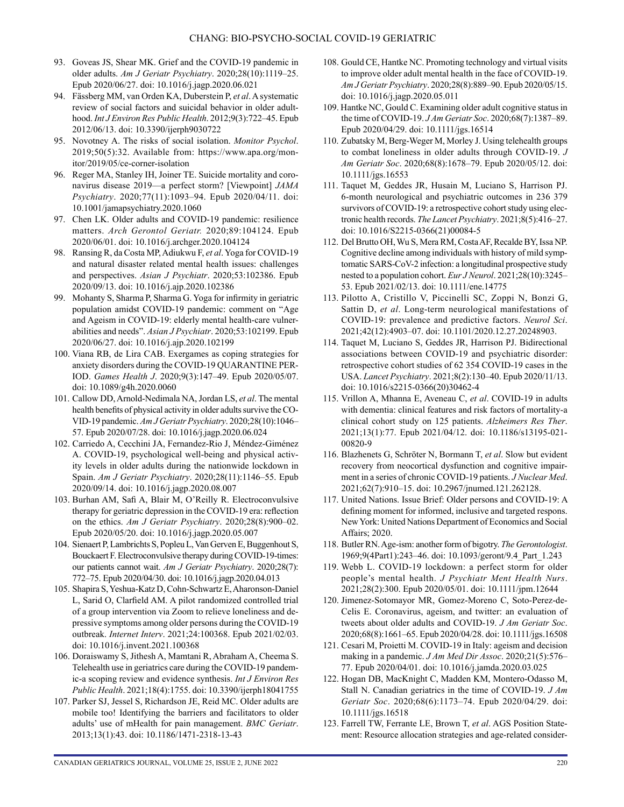- 93. Goveas JS, Shear MK. Grief and the COVID-19 pandemic in older adults. *Am J Geriatr Psychiatry*. 2020;28(10):1119–25. Epub 2020/06/27. doi: 10.1016/j.jagp.2020.06.021
- 94. Fässberg MM, van Orden KA, Duberstein P, *et al*. A systematic review of social factors and suicidal behavior in older adulthood. *Int J Environ Res Public Health*. 2012;9(3):722–45. Epub 2012/06/13. doi: 10.3390/ijerph9030722
- 95. Novotney A. The risks of social isolation. *Monitor Psychol*. 2019;50(5):32. Available from: [https://www.apa.org/mon](https://www.apa.org/monitor/2019/05/ce-corner-isolation)[itor/2019/05/ce-corner-isolation](https://www.apa.org/monitor/2019/05/ce-corner-isolation)
- 96. Reger MA, Stanley IH, Joiner TE. Suicide mortality and coronavirus disease 2019—a perfect storm? [Viewpoint] *JAMA Psychiatry*. 2020;77(11):1093–94. Epub 2020/04/11. doi: 10.1001/jamapsychiatry.2020.1060
- 97. Chen LK. Older adults and COVID-19 pandemic: resilience matters. *Arch Gerontol Geriatr.* 2020;89:104124. Epub 2020/06/01. doi: 10.1016/j.archger.2020.104124
- 98. Ransing R, da Costa MP, Adiukwu F, *et al*. Yoga for COVID-19 and natural disaster related mental health issues: challenges and perspectives. *Asian J Psychiatr*. 2020;53:102386. Epub 2020/09/13. doi: 10.1016/j.ajp.2020.102386
- 99. Mohanty S, Sharma P, Sharma G. Yoga for infirmity in geriatric population amidst COVID-19 pandemic: comment on "Age and Ageism in COVID-19: elderly mental health-care vulnerabilities and needs". *Asian J Psychiatr*. 2020;53:102199. Epub 2020/06/27. doi: 10.1016/j.ajp.2020.102199
- 100. Viana RB, de Lira CAB. Exergames as coping strategies for anxiety disorders during the COVID-19 QUARANTINE PER-IOD. *Games Health J*. 2020;9(3):147–49. Epub 2020/05/07. doi: 10.1089/g4h.2020.0060
- 101. Callow DD, Arnold-Nedimala NA, Jordan LS, *et al*. The mental health benefits of physical activity in older adults survive the CO-VID-19 pandemic. *Am J Geriatr Psychiatry*. 2020;28(10):1046– 57. Epub 2020/07/28. doi: 10.1016/j.jagp.2020.06.024
- 102. Carriedo A, Cecchini JA, Fernandez-Rio J, Méndez-Giménez A. COVID-19, psychological well-being and physical activity levels in older adults during the nationwide lockdown in Spain. *Am J Geriatr Psychiatry*. 2020;28(11):1146–55. Epub 2020/09/14. doi: 10.1016/j.jagp.2020.08.007
- 103. Burhan AM, Safi A, Blair M, O'Reilly R. Electroconvulsive therapy for geriatric depression in the COVID-19 era: reflection on the ethics. *Am J Geriatr Psychiatry*. 2020;28(8):900–02. Epub 2020/05/20. doi: 10.1016/j.jagp.2020.05.007
- 104. Sienaert P, Lambrichts S, Popleu L, Van Gerven E, Buggenhout S, Bouckaert F. Electroconvulsive therapy during COVID-19-times: our patients cannot wait. *Am J Geriatr Psychiatry*. 2020;28(7): 772–75. Epub 2020/04/30. doi: 10.1016/j.jagp.2020.04.013
- 105. Shapira S, Yeshua-Katz D, Cohn-Schwartz E, Aharonson-Daniel L, Sarid O, Clarfield AM. A pilot randomized controlled trial of a group intervention via Zoom to relieve loneliness and depressive symptoms among older persons during the COVID-19 outbreak. *Internet Interv*. 2021;24:100368. Epub 2021/02/03. doi: 10.1016/j.invent.2021.100368
- 106. Doraiswamy S, Jithesh A, Mamtani R, Abraham A, Cheema S. Telehealth use in geriatrics care during the COVID-19 pandemic-a scoping review and evidence synthesis. *Int J Environ Res Public Health*. 2021;18(4):1755. doi: 10.3390/ijerph18041755
- 107. Parker SJ, Jessel S, Richardson JE, Reid MC. Older adults are mobile too! Identifying the barriers and facilitators to older adults' use of mHealth for pain management. *BMC Geriatr*. 2013;13(1):43. doi: 10.1186/1471-2318-13-43
- 108. Gould CE, Hantke NC. Promoting technology and virtual visits to improve older adult mental health in the face of COVID-19. *Am J Geriatr Psychiatry*. 2020;28(8):889–90. Epub 2020/05/15. doi: 10.1016/j.jagp.2020.05.011
- 109. Hantke NC, Gould C. Examining older adult cognitive status in the time of COVID-19. *J Am Geriatr Soc*. 2020;68(7):1387–89. Epub 2020/04/29. doi: 10.1111/jgs.16514
- 110. Zubatsky M, Berg-Weger M, Morley J. Using telehealth groups to combat loneliness in older adults through COVID-19. *J Am Geriatr Soc*. 2020;68(8):1678–79. Epub 2020/05/12. doi: 10.1111/jgs.16553
- 111. Taquet M, Geddes JR, Husain M, Luciano S, Harrison PJ. 6-month neurological and psychiatric outcomes in 236 379 survivors of COVID-19: a retrospective cohort study using electronic health records. *The Lancet Psychiatry*. 2021;8(5):416–27. doi: 10.1016/S2215-0366(21)00084-5
- 112. Del Brutto OH, Wu S, Mera RM, Costa AF, Recalde BY, Issa NP. Cognitive decline among individuals with history of mild symptomatic SARS-CoV-2 infection: a longitudinal prospective study nested to a population cohort. *Eur J Neurol*. 2021;28(10):3245– 53. Epub 2021/02/13. doi: 10.1111/ene.14775
- 113. Pilotto A, Cristillo V, Piccinelli SC, Zoppi N, Bonzi G, Sattin D, *et al*. Long-term neurological manifestations of COVID-19: prevalence and predictive factors. *Neurol Sci*. 2021;42(12):4903–07. doi: 10.1101/2020.12.27.20248903.
- 114. Taquet M, Luciano S, Geddes JR, Harrison PJ. Bidirectional associations between COVID-19 and psychiatric disorder: retrospective cohort studies of 62 354 COVID-19 cases in the USA. *Lancet Psychiatry*. 2021;8(2):130–40. Epub 2020/11/13. doi: 10.1016/s2215-0366(20)30462-4
- 115. Vrillon A, Mhanna E, Aveneau C, *et al*. COVID-19 in adults with dementia: clinical features and risk factors of mortality-a clinical cohort study on 125 patients. *Alzheimers Res Ther*. 2021;13(1):77. Epub 2021/04/12. doi: 10.1186/s13195-021- 00820-9
- 116. Blazhenets G, Schröter N, Bormann T, *et al*. Slow but evident recovery from neocortical dysfunction and cognitive impairment in a series of chronic COVID-19 patients. *J Nuclear Med*. 2021;62(7):910–15. doi: 10.2967/jnumed.121.262128.
- 117. United Nations. Issue Brief: Older persons and COVID-19: A defining moment for informed, inclusive and targeted respons. New York: United Nations Department of Economics and Social Affairs; 2020.
- 118. Butler RN. Age-ism: another form of bigotry. *The Gerontologist*. 1969;9(4Part1):243–46. doi: 10.1093/geront/9.4\_Part\_1.243
- 119. Webb L. COVID-19 lockdown: a perfect storm for older people's mental health. *J Psychiatr Ment Health Nurs*. 2021;28(2):300. Epub 2020/05/01. doi: 10.1111/jpm.12644
- 120. Jimenez-Sotomayor MR, Gomez-Moreno C, Soto-Perez-de-Celis E. Coronavirus, ageism, and twitter: an evaluation of tweets about older adults and COVID-19. *J Am Geriatr Soc*. 2020;68(8):1661–65. Epub 2020/04/28. doi: 10.1111/jgs.16508
- 121. Cesari M, Proietti M. COVID-19 in Italy: ageism and decision making in a pandemic. *J Am Med Dir Assoc*. 2020;21(5):576– 77. Epub 2020/04/01. doi: 10.1016/j.jamda.2020.03.025
- 122. Hogan DB, MacKnight C, Madden KM, Montero-Odasso M, Stall N. Canadian geriatrics in the time of COVID-19. *J Am Geriatr Soc*. 2020;68(6):1173–74. Epub 2020/04/29. doi: 10.1111/jgs.16518
- 123. Farrell TW, Ferrante LE, Brown T, *et al*. AGS Position Statement: Resource allocation strategies and age-related consider-